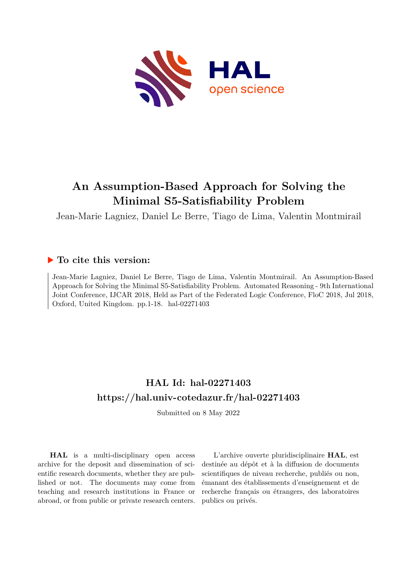

# **An Assumption-Based Approach for Solving the Minimal S5-Satisfiability Problem**

Jean-Marie Lagniez, Daniel Le Berre, Tiago de Lima, Valentin Montmirail

# **To cite this version:**

Jean-Marie Lagniez, Daniel Le Berre, Tiago de Lima, Valentin Montmirail. An Assumption-Based Approach for Solving the Minimal S5-Satisfiability Problem. Automated Reasoning - 9th International Joint Conference, IJCAR 2018, Held as Part of the Federated Logic Conference, FloC 2018, Jul 2018, Oxford, United Kingdom. pp.  $1-18$ . hal-02271403

# **HAL Id: hal-02271403 <https://hal.univ-cotedazur.fr/hal-02271403>**

Submitted on 8 May 2022

**HAL** is a multi-disciplinary open access archive for the deposit and dissemination of scientific research documents, whether they are published or not. The documents may come from teaching and research institutions in France or abroad, or from public or private research centers.

L'archive ouverte pluridisciplinaire **HAL**, est destinée au dépôt et à la diffusion de documents scientifiques de niveau recherche, publiés ou non, émanant des établissements d'enseignement et de recherche français ou étrangers, des laboratoires publics ou privés.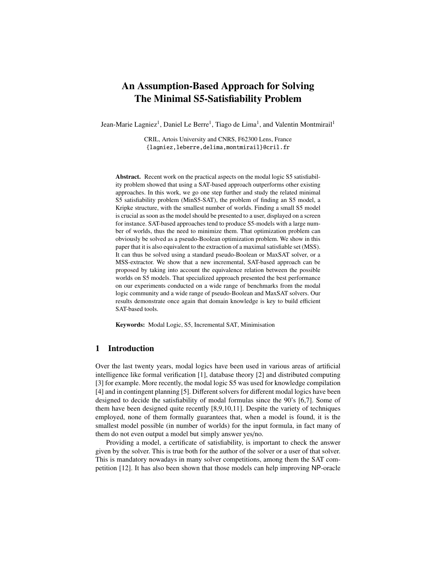# An Assumption-Based Approach for Solving The Minimal S5-Satisfiability Problem

Jean-Marie Lagniez<sup>1</sup>, Daniel Le Berre<sup>1</sup>, Tiago de Lima<sup>1</sup>, and Valentin Montmirail<sup>1</sup>

CRIL, Artois University and CNRS, F62300 Lens, France {lagniez,leberre,delima,montmirail}@cril.fr

Abstract. Recent work on the practical aspects on the modal logic S5 satisfiability problem showed that using a SAT-based approach outperforms other existing approaches. In this work, we go one step further and study the related minimal S5 satisfiability problem (MinS5-SAT), the problem of finding an S5 model, a Kripke structure, with the smallest number of worlds. Finding a small S5 model is crucial as soon as the model should be presented to a user, displayed on a screen for instance. SAT-based approaches tend to produce S5-models with a large number of worlds, thus the need to minimize them. That optimization problem can obviously be solved as a pseudo-Boolean optimization problem. We show in this paper that it is also equivalent to the extraction of a maximal satisfiable set (MSS). It can thus be solved using a standard pseudo-Boolean or MaxSAT solver, or a MSS-extractor. We show that a new incremental, SAT-based approach can be proposed by taking into account the equivalence relation between the possible worlds on S5 models. That specialized approach presented the best performance on our experiments conducted on a wide range of benchmarks from the modal logic community and a wide range of pseudo-Boolean and MaxSAT solvers. Our results demonstrate once again that domain knowledge is key to build efficient SAT-based tools.

Keywords: Modal Logic, S5, Incremental SAT, Minimisation

# 1 Introduction

Over the last twenty years, modal logics have been used in various areas of artificial intelligence like formal verification [1], database theory [2] and distributed computing [3] for example. More recently, the modal logic S5 was used for knowledge compilation [4] and in contingent planning [5]. Different solvers for different modal logics have been designed to decide the satisfiability of modal formulas since the 90's [6,7]. Some of them have been designed quite recently [8,9,10,11]. Despite the variety of techniques employed, none of them formally guarantees that, when a model is found, it is the smallest model possible (in number of worlds) for the input formula, in fact many of them do not even output a model but simply answer yes/no.

Providing a model, a certificate of satisfiability, is important to check the answer given by the solver. This is true both for the author of the solver or a user of that solver. This is mandatory nowadays in many solver competitions, among them the SAT competition [12]. It has also been shown that those models can help improving NP-oracle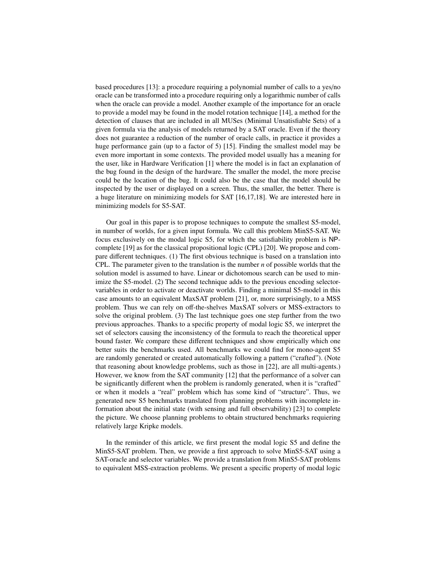based procedures [13]: a procedure requiring a polynomial number of calls to a yes/no oracle can be transformed into a procedure requiring only a logarithmic number of calls when the oracle can provide a model. Another example of the importance for an oracle to provide a model may be found in the model rotation technique [14], a method for the detection of clauses that are included in all MUSes (Minimal Unsatisfiable Sets) of a given formula via the analysis of models returned by a SAT oracle. Even if the theory does not guarantee a reduction of the number of oracle calls, in practice it provides a huge performance gain (up to a factor of 5) [15]. Finding the smallest model may be even more important in some contexts. The provided model usually has a meaning for the user, like in Hardware Verification [1] where the model is in fact an explanation of the bug found in the design of the hardware. The smaller the model, the more precise could be the location of the bug. It could also be the case that the model should be inspected by the user or displayed on a screen. Thus, the smaller, the better. There is a huge literature on minimizing models for SAT [16,17,18]. We are interested here in minimizing models for S5-SAT.

Our goal in this paper is to propose techniques to compute the smallest S5-model, in number of worlds, for a given input formula. We call this problem MinS5-SAT. We focus exclusively on the modal logic S5, for which the satisfiability problem is NPcomplete [19] as for the classical propositional logic (CPL) [20]. We propose and compare different techniques. (1) The first obvious technique is based on a translation into CPL. The parameter given to the translation is the number *n* of possible worlds that the solution model is assumed to have. Linear or dichotomous search can be used to minimize the S5-model. (2) The second technique adds to the previous encoding selectorvariables in order to activate or deactivate worlds. Finding a minimal S5-model in this case amounts to an equivalent MaxSAT problem [21], or, more surprisingly, to a MSS problem. Thus we can rely on off-the-shelves MaxSAT solvers or MSS-extractors to solve the original problem. (3) The last technique goes one step further from the two previous approaches. Thanks to a specific property of modal logic S5, we interpret the set of selectors causing the inconsistency of the formula to reach the theoretical upper bound faster. We compare these different techniques and show empirically which one better suits the benchmarks used. All benchmarks we could find for mono-agent S5 are randomly generated or created automatically following a pattern ("crafted"). (Note that reasoning about knowledge problems, such as those in [22], are all multi-agents.) However, we know from the SAT community [12] that the performance of a solver can be significantly different when the problem is randomly generated, when it is "crafted" or when it models a "real" problem which has some kind of "structure". Thus, we generated new S5 benchmarks translated from planning problems with incomplete information about the initial state (with sensing and full observability) [23] to complete the picture. We choose planning problems to obtain structured benchmarks requiering relatively large Kripke models.

In the reminder of this article, we first present the modal logic S5 and define the MinS5-SAT problem. Then, we provide a first approach to solve MinS5-SAT using a SAT-oracle and selector variables. We provide a translation from MinS5-SAT problems to equivalent MSS-extraction problems. We present a specific property of modal logic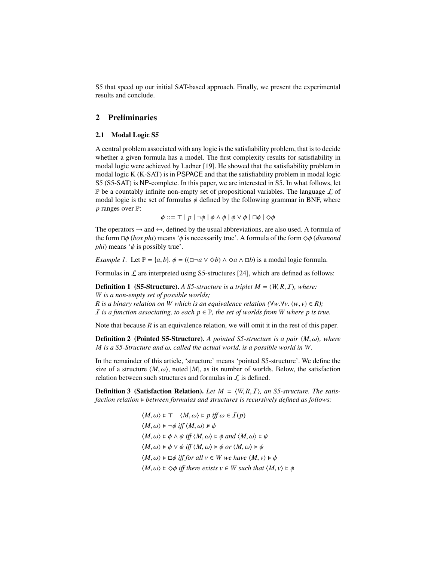S5 that speed up our initial SAT-based approach. Finally, we present the experimental results and conclude.

# 2 Preliminaries

#### 2.1 Modal Logic S5

A central problem associated with any logic is the satisfiability problem, that is to decide whether a given formula has a model. The first complexity results for satisfiability in modal logic were achieved by Ladner [19]. He showed that the satisfiability problem in modal logic K (K-SAT) is in PSPACE and that the satisfiability problem in modal logic S5 (S5-SAT) is NP-complete. In this paper, we are interested in S5. In what follows, let  $\mathbb P$  be a countably infinite non-empty set of propositional variables. The language  $\mathcal L$  of modal logic is the set of formulas  $\phi$  defined by the following grammar in BNF, where *p* ranges over P:

 $\phi ::= \top | p | \neg \phi | \phi \wedge \phi | \phi \vee \phi | \Box \phi | \Diamond \phi$ 

The operators  $\rightarrow$  and  $\leftrightarrow$ , defined by the usual abbreviations, are also used. A formula of the form  $\Box \phi$  (*box phi*) means ' $\phi$  is necessarily true'. A formula of the form  $\diamond \phi$  (*diamond phi*) means  $\phi$  is possibly true'.

*Example 1.* Let  $\mathbb{P} = \{a, b\}$ .  $\phi = ((\Box \neg a \lor \Diamond b) \land \Diamond a \land \Box b)$  is a modal logic formula.

Formulas in  $\mathcal L$  are interpreted using S5-structures [24], which are defined as follows:

**Definition 1 (S5-Structure).** A S5-structure is a triplet  $M = \langle W, R, I \rangle$ , where: *W is a non-empty set of possible worlds;*

*R* is a binary relation on W which is an equivalence relation ( $\forall w.\forall v.$   $(w, v) \in R$ ); *I* is a function associating, to each  $p \in \mathbb{P}$ , the set of worlds from W where p is true.

Note that because  $R$  is an equivalence relation, we will omit it in the rest of this paper.

**Definition 2 (Pointed S5-Structure).** *A pointed S5-structure is a pair*  $\langle M, \omega \rangle$ *, where M is a S5-Structure and* ω*, called the actual world, is a possible world in W.*

In the remainder of this article, 'structure' means 'pointed S5-structure'. We define the size of a structure  $\langle M, \omega \rangle$ , noted  $|M|$ , as its number of worlds. Below, the satisfaction relation between such structures and formulas in  $\mathcal L$  is defined.

**Definition 3** (Satisfaction Relation). Let  $M = \langle W, R, I \rangle$ , an S5-structure. The satis*faction relation between formulas and structures is recursively defined as follows:*

$$
\langle M, \omega \rangle \models \top \quad \langle M, \omega \rangle \models p \text{ iff } \omega \in I(p)
$$
  

$$
\langle M, \omega \rangle \models \neg \phi \text{ iff } \langle M, \omega \rangle \not\models \phi
$$
  

$$
\langle M, \omega \rangle \models \phi \land \psi \text{ iff } \langle M, \omega \rangle \models \phi \text{ and } \langle M, \omega \rangle \models \psi
$$
  

$$
\langle M, \omega \rangle \models \phi \lor \psi \text{ iff } \langle M, \omega \rangle \models \phi \text{ or } \langle M, \omega \rangle \models \psi
$$
  

$$
\langle M, \omega \rangle \models \Box \phi \text{ iff for all } v \in W \text{ we have } \langle M, v \rangle \models \phi
$$
  

$$
\langle M, \omega \rangle \models \Diamond \phi \text{ iff there exists } v \in W \text{ such that } \langle M, v \rangle \models \phi
$$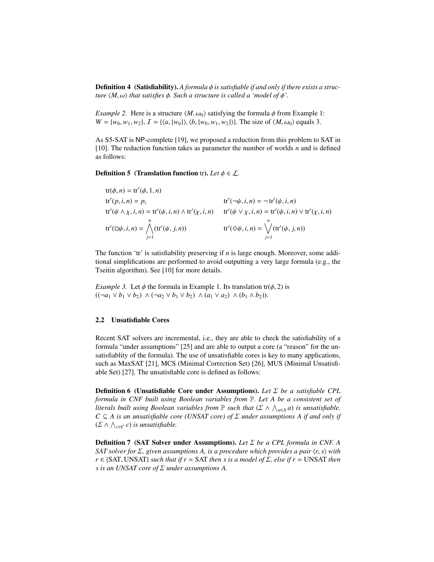**Definition 4** (Satisfiability). A formula φ is satisfiable if and only if there exists a struc*ture*  $\langle M, \omega \rangle$  *that satisfies*  $\phi$ *. Such a structure is called a 'model of*  $\phi'$ *.* 

*Example 2.* Here is a structure  $\langle M, \omega_0 \rangle$  satisfying the formula  $\phi$  from Example 1:  $W = \{w_0, w_1, w_2\}, \mathcal{I} = \{\langle a, \{w_0\} \rangle, \langle b, \{w_0, w_1, w_2\} \rangle\}.$  The size of  $\langle M, \omega_0 \rangle$  equals 3.

As S5-SAT is NP-complete [19], we proposed a reduction from this problem to SAT in [10]. The reduction function takes as parameter the number of worlds *n* and is defined as follows:

**Definition 5** (Translation function tr). Let  $\phi \in \mathcal{L}$ .

$$
tr(\phi, n) = tr'(\phi, 1, n)
$$
  
\n
$$
tr'(p, i, n) = p_i
$$
  
\n
$$
tr'(\neg \psi, i, n) = \neg tr'(\psi, i, n)
$$
  
\n
$$
tr'(\psi \wedge \chi, i, n) = tr'(\psi, i, n) \wedge tr'(\chi, i, n)
$$
  
\n
$$
tr'(\psi \vee \chi, i, n) = tr'(\psi, i, n) \vee tr'(\chi, i, n)
$$
  
\n
$$
tr'(\neg \psi, i, n) = \bigwedge_{j=1}^n (tr'(\psi, j, n))
$$
  
\n
$$
tr'(\psi \wedge i, n) = \bigvee_{j=1}^n (tr'(\psi, j, n))
$$

The function 'tr' is satisfiability preserving if *n* is large enough. Moreover, some additional simplifications are performed to avoid outputting a very large formula (e.g., the Tseitin algorithm). See [10] for more details.

*Example 3.* Let  $\phi$  the formula in Example 1. Its translation tr( $\phi$ , 2) is  $((\neg a_1 \lor b_1 \lor b_2) \land (\neg a_2 \lor b_1 \lor b_2) \land (a_1 \lor a_2) \land (b_1 \land b_2)).$ 

#### 2.2 Unsatisfiable Cores

Recent SAT solvers are incremental, i.e., they are able to check the satisfiability of a formula "under assumptions" [25] and are able to output a core (a "reason" for the unsatisfiablity of the formula). The use of unsatisfiable cores is key to many applications, such as MaxSAT [21], MCS (Minimal Correction Set) [26], MUS (Minimal Unsatisfiable Set) [27]. The unsatisfiable core is defined as follows:

Definition 6 (Unsatisfiable Core under Assumptions). *Let* Σ *be a satisfiable CPL formula in CNF built using Boolean variables from* P*. Let A be a consistent set of literals built using Boolean variables from*  $\mathbb P$  *such that*  $(\Sigma \wedge \wedge_{a \in A} a)$  *is unsatisfiable.*<br> $C \subseteq A$  *is an unsatisfiable core (UNSAT core)* of  $\Sigma$  under assumptions A *if and only if*  $C \subseteq A$  *is an unsatisfiable core (UNSAT core) of*  $\Sigma$  *under assumptions A if and only if*  $(\Sigma \wedge \wedge_{c \in C} c)$  *is unsatisfiable.* 

Definition 7 (SAT Solver under Assumptions). *Let* Σ *be a CPL formula in CNF. A SAT solver for*  $Σ$ , given assumptions A, is a procedure which provides a pair  $\langle r, s \rangle$  with *<sup>r</sup>* ∈ {SAT, UNSAT} *such that if r* <sup>=</sup> SAT *then s is a model of* Σ*, else if r* <sup>=</sup> UNSAT *then s is an UNSAT core of* Σ *under assumptions A.*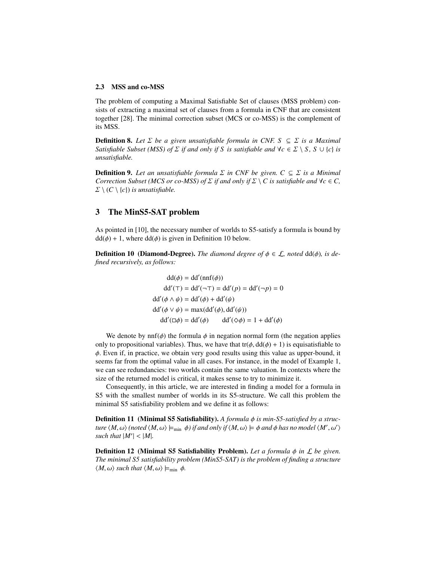#### 2.3 MSS and co-MSS

The problem of computing a Maximal Satisfiable Set of clauses (MSS problem) consists of extracting a maximal set of clauses from a formula in CNF that are consistent together [28]. The minimal correction subset (MCS or co-MSS) is the complement of its MSS.

**Definition 8.** Let  $\Sigma$  be a given unsatisfiable formula in CNF.  $S \subseteq \Sigma$  is a Maximal *Satisfiable Subset (MSS) of*  $\Sigma$  *if and only if*  $S$  *is satisfiable and*  $\forall c \in \Sigma \setminus S$ ,  $S \cup \{c\}$  *is unsatisfiable.*

**Definition 9.** Let an unsatisfiable formula  $\Sigma$  in CNF be given.  $C \subseteq \Sigma$  is a Minimal *Correction Subset (MCS or co-MSS) of*  $\Sigma$  *if and only if*  $\Sigma \setminus C$  *is satisfiable and*  $\forall c \in C$ ,  $\Sigma \setminus (C \setminus \{c\})$  *is unsatisfiable.* 

## 3 The MinS5-SAT problem

As pointed in [10], the necessary number of worlds to S5-satisfy a formula is bound by  $dd(\phi) + 1$ , where  $dd(\phi)$  is given in Definition 10 below.

**Definition 10** (Diamond-Degree). *The diamond degree of*  $\phi \in \mathcal{L}$ , noted dd( $\phi$ ), is de*fined recursively, as follows:*

> $dd(\phi) = dd'(nnf(\phi))$  $dd'(\top) = dd'(\neg \top) = dd'(p) = dd'(\neg p) = 0$  $dd'(\phi \wedge \psi) = dd'(\phi) + dd'(\psi)$ dd' $(\phi \lor \psi) = \max(\text{dd}'(\phi), \text{dd}'(\psi))$  $dd'(\Box \phi) = dd'$ ( $\phi$ ) dd'( $\Diamond \phi$ ) = 1 + dd'( $\phi$ )

We denote by  $nnf(\phi)$  the formula  $\phi$  in negation normal form (the negation applies only to propositional variables). Thus, we have that  $tr(\phi, dd(\phi) + 1)$  is equisatisfiable to  $\phi$ . Even if, in practice, we obtain very good results using this value as upper-bound, it seems far from the optimal value in all cases. For instance, in the model of Example 1, we can see redundancies: two worlds contain the same valuation. In contexts where the size of the returned model is critical, it makes sense to try to minimize it.

Consequently, in this article, we are interested in finding a model for a formula in S5 with the smallest number of worlds in its S5-structure. We call this problem the minimal S5 satisfiability problem and we define it as follows:

**Definition 11 (Minimal S5 Satisfiability).** A formula φ is min-S5-satisfied by a struc*ture*  $\langle M, \omega \rangle$  *(noted*  $\langle M, \omega \rangle \models_{min} \phi$ ) *if and only if*  $\langle M, \omega \rangle \models \phi$  *and*  $\phi$  *has no model*  $\langle M', \omega' \rangle$ <br>such that  $|M'| \leq |M|$ such that  $|M'| < |M|$ .

Definition 12 (Minimal S5 Satisfiability Problem). *Let a formula* φ *in* <sup>L</sup> *be given. The minimal S5 satisfiability problem (MinS5-SAT) is the problem of finding a structure*  $\langle M, \omega \rangle$  *such that*  $\langle M, \omega \rangle \models_{\min} \phi$ .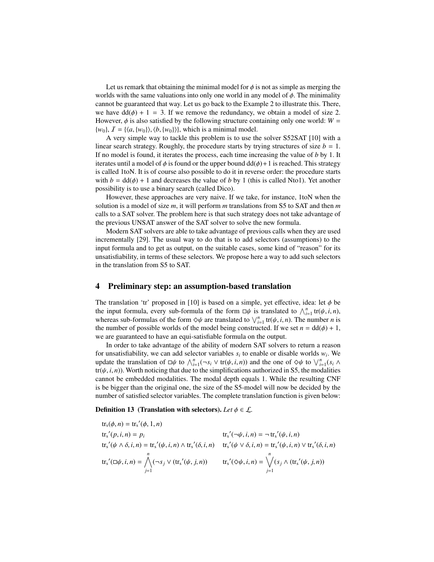Let us remark that obtaining the minimal model for  $\phi$  is not as simple as merging the worlds with the same valuations into only one world in any model of  $\phi$ . The minimality cannot be guaranteed that way. Let us go back to the Example 2 to illustrate this. There, we have  $dd(\phi) + 1 = 3$ . If we remove the redundancy, we obtain a model of size 2. However,  $\phi$  is also satisfied by the following structure containing only one world:  $W =$  ${w_0}, \mathcal{I} = {\langle a, {w_0} \rangle, \langle b, {w_0} \rangle}$ , which is a minimal model.

A very simple way to tackle this problem is to use the solver S52SAT [10] with a linear search strategy. Roughly, the procedure starts by trying structures of size  $b = 1$ . If no model is found, it iterates the process, each time increasing the value of *b* by 1. It iterates until a model of  $\phi$  is found or the upper bound  $dd(\phi) + 1$  is reached. This strategy is called 1toN. It is of course also possible to do it in reverse order: the procedure starts with  $b = dd(\phi) + 1$  and decreases the value of *b* by 1 (this is called Nto1). Yet another possibility is to use a binary search (called Dico).

However, these approaches are very naive. If we take, for instance, 1toN when the solution is a model of size *m*, it will perform *m* translations from S5 to SAT and then *m* calls to a SAT solver. The problem here is that such strategy does not take advantage of the previous UNSAT answer of the SAT solver to solve the new formula.

Modern SAT solvers are able to take advantage of previous calls when they are used incrementally [29]. The usual way to do that is to add selectors (assumptions) to the input formula and to get as output, on the suitable cases, some kind of "reason" for its unsatisfiability, in terms of these selectors. We propose here a way to add such selectors in the translation from S5 to SAT.

#### 4 Preliminary step: an assumption-based translation

The translation 'tr' proposed in [10] is based on a simple, yet effective, idea: let  $\phi$  be the input formula, every sub-formula of the form  $\Box \psi$  is translated to  $\bigwedge_{i=1}^{n}$   $tr(\psi, i, n)$ , whereas sub-formulas of the form  $\Diamond \psi$  are translated to  $\bigvee_{i=1}^{n} tr(\psi, i, n)$ . The number *n* is whereas sub-formulas of the form  $\Diamond \psi$  are translated to  $\bigvee_{i=1}^{n}$  tr( $\psi$ , *i*, *n*). The number *n* is<br>the number of possible worlds of the model being constructed. If we set  $n = dd(\phi) + 1$ the number of possible worlds of the model being constructed. If we set  $n = dd(\phi) + 1$ , we are guaranteed to have an equi-satisfiable formula on the output.

In order to take advantage of the ability of modern SAT solvers to return a reason for unsatisfiability, we can add selector variables  $s_i$  to enable or disable worlds  $w_i$ . We update the translation of  $\Box \psi$  to  $\bigwedge_{i=1}^{n} (\neg s_i \lor \text{tr}(\psi, i, n))$  and the one of  $\diamond \psi$  to  $\bigvee_{i=1}^{n} (s_i \land \text{tr}(\psi, i, n))$ . Worth noticing that due to the simplifications authorized in S5, the modalities  $tr(\psi, i, n)$ ). Worth noticing that due to the simplifications authorized in S5, the modalities cannot be embedded modalities. The modal depth equals 1. While the resulting CNF is be bigger than the original one, the size of the S5-model will now be decided by the number of satisfied selector variables. The complete translation function is given below:

**Definition 13** (Translation with selectors). Let  $\phi \in \mathcal{L}$ .

$$
tr_s(\phi, n) = tr_s'(\phi, 1, n)
$$
  
\n
$$
tr_s'(\phi, i, n) = p_i
$$
  
\n
$$
tr_s'(\psi, i, n) = -tr_s'(\psi, i, n)
$$
  
\n
$$
tr_s'(\psi \wedge \delta, i, n) = tr_s'(\psi, i, n) \wedge tr_s'(\delta, i, n)
$$
  
\n
$$
tr_s'(\psi \wedge \delta, i, n) = tr_s'(\psi, i, n) \wedge tr_s'(\delta, i, n)
$$
  
\n
$$
tr_s'(\psi \wedge \delta, i, n) = \bigwedge_{j=1}^n (\neg s_j \vee (tr_s'(\psi, j, n)))
$$
  
\n
$$
tr_s'(\psi \wedge \delta, i, n) = \bigvee_{j=1}^n (s_j \wedge (tr_s'(\psi, j, n)))
$$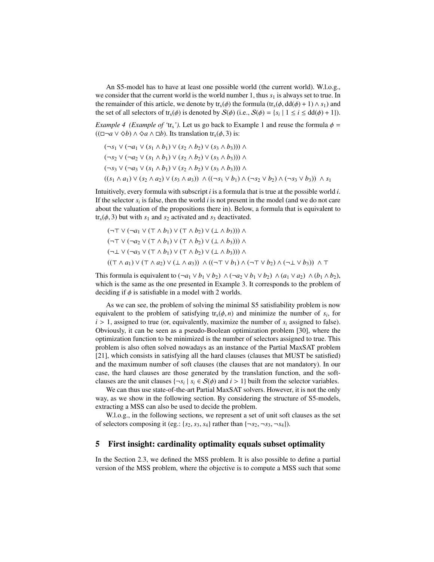An S5-model has to have at least one possible world (the current world). W.l.o.g., we consider that the current world is the world number 1, thus  $s<sub>1</sub>$  is always set to true. In the remainder of this article, we denote by  $tr_s(\phi)$  the formula  $(tr_s(\phi, dd(\phi) + 1) \wedge s_1)$  and the set of all selectors of  $tr_s(\phi)$  is denoted by  $S(\phi)$  (i.e.,  $S(\phi) = \{s_i \mid 1 \le i \le dd(\phi) + 1\}$ ).

*Example 4 (Example of 'tr<sub>s</sub>').* Let us go back to Example 1 and reuse the formula  $\phi$  =  $((\Box \neg a \lor \Diamond b) \land \Diamond a \land \Box b)$ . Its translation tr<sub>s</sub>( $\phi$ , 3) is:

$$
(\neg s_1 \lor (\neg a_1 \lor (s_1 \land b_1) \lor (s_2 \land b_2) \lor (s_3 \land b_3))) \land
$$
  
\n
$$
(\neg s_2 \lor (\neg a_2 \lor (s_1 \land b_1) \lor (s_2 \land b_2) \lor (s_3 \land b_3))) \land
$$
  
\n
$$
(\neg s_3 \lor (\neg a_3 \lor (s_1 \land b_1) \lor (s_2 \land b_2) \lor (s_3 \land b_3))) \land
$$
  
\n
$$
((s_1 \land a_1) \lor (s_2 \land a_2) \lor (s_3 \land a_3)) \land ((\neg s_1 \lor b_1) \land (\neg s_2 \lor b_2) \land (\neg s_3 \lor b_3)) \land s_1
$$

Intuitively, every formula with subscript *i* is a formula that is true at the possible world *i*. If the selector  $s_i$  is false, then the world  $i$  is not present in the model (and we do not care about the valuation of the propositions there in). Below, a formula that is equivalent to  $tr<sub>s</sub>(\phi, 3)$  but with  $s<sub>1</sub>$  and  $s<sub>2</sub>$  activated and  $s<sub>3</sub>$  deactivated.

$$
(\neg \top \lor (\neg a_1 \lor (\top \land b_1) \lor (\top \land b_2) \lor (\bot \land b_3))) \land (\neg \top \lor (\neg a_2 \lor (\top \land b_1) \lor (\top \land b_2) \lor (\bot \land b_3))) \land (\neg \bot \lor (\neg a_3 \lor (\top \land b_1) \lor (\top \land b_2) \lor (\bot \land b_3))) \land ((\top \land a_1) \lor (\top \land a_2) \lor (\bot \land a_3)) \land ((\neg \top \lor b_1) \land (\neg \top \lor b_2) \land (\neg \bot \lor b_3)) \land \top
$$

This formula is equivalent to  $(\neg a_1 \lor b_1 \lor b_2) \land (\neg a_2 \lor b_1 \lor b_2) \land (a_1 \lor a_2) \land (b_1 \land b_2)$ , which is the same as the one presented in Example 3. It corresponds to the problem of deciding if  $\phi$  is satisfiable in a model with 2 worlds.

As we can see, the problem of solving the minimal S5 satisfiability problem is now equivalent to the problem of satisfying  $tr_s(\phi, n)$  and minimize the number of  $s_i$ , for  $i > 1$  assigned to true (or equivalently maximize the number of *s* assigned to false)  $i > 1$ , assigned to true (or, equivalently, maximize the number of  $s_i$  assigned to false). Obviously, it can be seen as a pseudo-Boolean optimization problem [30], where the optimization function to be minimized is the number of selectors assigned to true. This problem is also often solved nowadays as an instance of the Partial MaxSAT problem [21], which consists in satisfying all the hard clauses (clauses that MUST be satisfied) and the maximum number of soft clauses (the clauses that are not mandatory). In our case, the hard clauses are those generated by the translation function, and the softclauses are the unit clauses  $\{\neg s_i \mid s_i \in S(\phi) \text{ and } i > 1\}$  built from the selector variables.<br>We can thus use state-of the art Partial MaxSAT solvers. However, it is not the only

We can thus use state-of-the-art Partial MaxSAT solvers. However, it is not the only way, as we show in the following section. By considering the structure of S5-models, extracting a MSS can also be used to decide the problem.

W.l.o.g., in the following sections, we represent a set of unit soft clauses as the set of selectors composing it (eg.: { $s_2$ ,  $s_3$ ,  $s_4$ } rather than { $\neg s_2$ ,  $\neg s_3$ ,  $\neg s_4$ }).

# 5 First insight: cardinality optimality equals subset optimality

In the Section 2.3, we defined the MSS problem. It is also possible to define a partial version of the MSS problem, where the objective is to compute a MSS such that some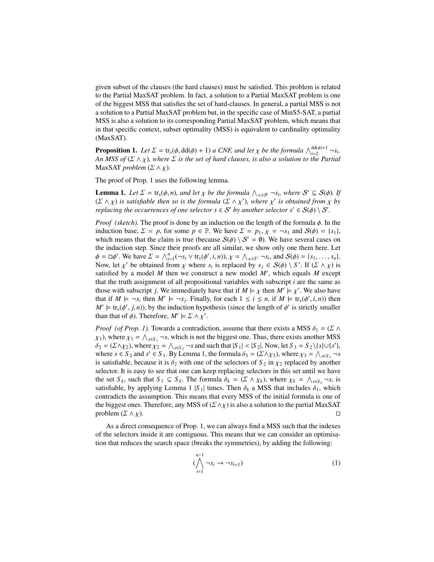given subset of the clauses (the hard clauses) must be satisfied. This problem is related to the Partial MaxSAT problem. In fact, a solution to a Partial MaxSAT problem is one of the biggest MSS that satisfies the set of hard-clauses. In general, a partial MSS is not a solution to a Partial MaxSAT problem but, in the specific case of MinS5-SAT, a partial MSS is also a solution to its corresponding Partial MaxSAT problem, which means that in that specific context, subset optimality (MSS) is equivalent to cardinality optimality (MaxSAT).

**Proposition 1.** *Let*  $\Sigma = \text{tr}_s(\phi, \text{dd}(\phi) + 1)$  *a CNF, and let*  $\chi$  *be the formula*  $\bigwedge_{i=2}^{\text{dd}(\phi)+1} \neg s_i$ .<br>An MSS of  $(\Sigma \wedge \chi)$  where  $\Sigma$  is the set of hard clauses is also a solution to the Partial *An MSS of* (Σ <sup>∧</sup> χ)*, where* Σ *is the set of hard clauses, is also a solution to the Partial* MaxSAT *problem*  $(\Sigma \wedge \chi)$ .

The proof of Prop. 1 uses the following lemma.

**Lemma 1.** Let  $\Sigma = \text{tr}_{\text{s}}(\phi, n)$ , and let  $\chi$  be the formula  $\bigwedge_{s_i \in S'} \neg s_i$ , where  $S' \subseteq S(\phi)$ . If  $(\Sigma \land \chi)$  is satisfiable then so is the formula  $(\Sigma \land \chi')$  where  $\chi'$  is obtained from  $\chi$  by  $(\Sigma \wedge \chi)$  is satisfiable then so is the formula  $(\Sigma \wedge \chi')$ , where  $\chi'$  is obtained from  $\chi$  by<br>replacing the occurrences of one selector  $s \in S'$  by another selector  $s' \in S(\phi) \setminus S'$ *replacing the occurrences of one selector*  $s \in S'$  *by another selector*  $s' \in S(\phi) \setminus S'$ .

*Proof (sketch).* The proof is done by an induction on the length of the formula φ. In the induction base,  $\Sigma = p$ , for some  $p \in \mathbb{P}$ . We have  $\Sigma = p_1$ ,  $\chi = \neg s_1$  and  $S(\phi) = \{s_1\}$ , which means that the claim is true (because  $S(\phi) \setminus S' = \emptyset$ ). We have several cases on the induction step. Since their proofs are all similar, we show only one them here. Let  $\phi = \Box \phi'$ . We have  $\Sigma = \bigwedge_{i=1}^{n} (\neg s_i \vee \text{tr}_s(\phi', i, n)), \chi = \bigwedge_{s_i \in S'} \neg s_i$ , and  $\mathcal{S}(\phi) = \{s_1, \dots, s_n\}$ .<br>Now let  $v'$  be obtained from  $v$  where *s*, is replaced by  $s_i \in S(\phi) \setminus S'$ . If  $(\Sigma \wedge v_i)$  is Now, let  $\chi'$  be obtained from  $\chi$  where  $s_i$  is replaced by  $s_j \in S(\phi) \setminus S'$ . If  $(\Sigma \wedge \chi)$  is restricted by a model M then we construct a new model M' which equals M except satisfied by a model  $M$  then we construct a new model  $M'$ , which equals  $M$  except that the truth assignment of all propositional variables with subscript *i* are the same as those with subscript *j*. We immediately have that if  $M \models \chi$  then  $M' \models \chi'$ . We also have that if  $M \models \neg s$ , then  $M' \models \neg s$ . Finally, for each  $1 \le i \le n$  if  $M \models \text{tr} (d' \text{ } i \text{ } n)$ ) then that if  $M \models \neg s_i$  then  $M' \models \neg s_j$ . Finally, for each  $1 \le i \le n$ , if  $M \models \text{tr}_s(\phi', i, n)$  then  $M' \models \text{tr}(\phi', i, n)$  by the induction hypothesis (since the length of  $\phi'$  is strictly smaller  $M' \models tr_s(\phi', j, n)$ ), by the induction hypothesis (since the length of  $\phi'$  is strictly smaller than that of  $\phi$ ). Therefore,  $M' \models \sum \phi, \psi'$ than that of  $\phi$ ). Therefore,  $M' \models \Sigma \land \chi'$ .

*Proof* (of Prop. 1). Towards a contradiction, assume that there exists a MSS  $\delta_1 = (\Sigma \wedge$  $\chi_1$ ), where  $\chi_1 = \bigwedge_{s \in S_1} \neg s$ , which is not the biggest one. Thus, there exists another MSS<br>  $\delta_2 = (\Sigma \Delta \chi_2)$ , where  $\chi_2 = \Lambda$ ,  $\Box$   $\Box$  s and such that  $|\mathcal{S}_1| \leq |\mathcal{S}_2|$ . Now, let  $\mathcal{S}_2 = \mathcal{S}_2$  if  $\mathcal{S$  $\delta_2 = (\Sigma \wedge \chi_2)$ , where  $\chi_2 = \bigwedge_{s \in S_2} \neg s$  and such that  $|S_1| < |S_2|$ . Now, let  $S_3 = S_2 \setminus \{s\} \cup \{s'\}$ , where  $s \in S_2$  and  $s' \in S_1$ . By Lemma 1, the formula  $\delta_2 = (\Sigma \wedge \chi_2)$ , where  $\chi_2 = \Lambda$ ,  $s \to s$ where  $s \in S_2$  and  $s' \in S_1$ . By Lemma 1, the formula  $\delta_3 = (\Sigma \wedge \chi_3)$ , where  $\chi_3 = \bigwedge_{s \in S_3} \neg s$ <br>is satisfiable, because it is  $\delta_2$  with one of the selectors of  $S_2$  in  $\chi_2$  replaced by another is satisfiable, because it is  $\delta_2$  with one of the selectors of  $S_2$  in  $\chi_2$  replaced by another selector. It is easy to see that one can keep replacing selectors in this set until we have the set  $S_k$ , such that  $S_1 \subseteq S_k$ . The formula  $\delta_k = (\Sigma \wedge \chi_k)$ , where  $\chi_k = \bigwedge_{s \in S_k} \neg s$ , is estisfiable by applying Lemma 1  $|S_k|$  times. Then  $\delta_k$  a MSS that includes  $\delta_k$ , which satisfiable, by applying Lemma 1 |S<sub>1</sub>| times. Then  $\delta_k$  a MSS that includes  $\delta_1$ , which contradicts the assumption. This means that every MSS of the initial formula is one of the biggest ones. Therefore, any MSS of ( $\Sigma \land \chi$ ) is also a solution to the partial MaxSAT problem ( $\Sigma \land \chi$ ).  $\square$ problem  $(\Sigma \wedge \chi)$ .

As a direct consequence of Prop. 1, we can always find a MSS such that the indexes of the selectors inside it are contiguous. This means that we can consider an optimisation that reduces the search space (breaks the symmetries), by adding the following:

$$
\left(\bigwedge_{i=1}^{n-1} \neg s_i \to \neg s_{i+1}\right) \tag{1}
$$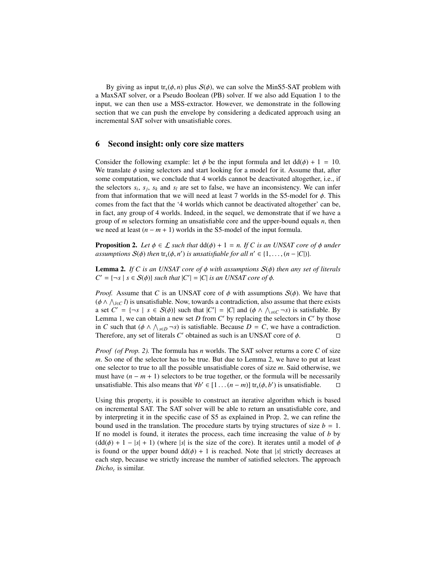By giving as input  $tr_s(\phi, n)$  plus  $S(\phi)$ , we can solve the MinS5-SAT problem with a MaxSAT solver, or a Pseudo Boolean (PB) solver. If we also add Equation 1 to the input, we can then use a MSS-extractor. However, we demonstrate in the following section that we can push the envelope by considering a dedicated approach using an incremental SAT solver with unsatisfiable cores.

### 6 Second insight: only core size matters

Consider the following example: let  $\phi$  be the input formula and let  $dd(\phi) + 1 = 10$ . We translate  $\phi$  using selectors and start looking for a model for it. Assume that, after some computation, we conclude that 4 worlds cannot be deactivated altogether, i.e., if the selectors  $s_i$ ,  $s_j$ ,  $s_k$  and  $s_l$  are set to false, we have an inconsistency. We can infer from that information that we will need at least 7 worlds in the S5-model for  $\phi$ . This comes from the fact that the '4 worlds which cannot be deactivated altogether' can be, in fact, any group of 4 worlds. Indeed, in the sequel, we demonstrate that if we have a group of *m* selectors forming an unsatisfiable core and the upper-bound equals *n*, then we need at least  $(n - m + 1)$  worlds in the S5-model of the input formula.

**Proposition 2.** Let  $\phi \in \mathcal{L}$  *such that*  $dd(\phi) + 1 = n$ . If C is an UNSAT core of  $\phi$  under *assumptions*  $S(\phi)$  *then*  $\text{tr}_s(\phi, n')$  *is unsatisfiable for all*  $n' \in \{1, ..., (n - |C|\}$ *.* 

Lemma 2. *If C is an UNSAT core of* φ *with assumptions* <sup>S</sup>(φ) *then any set of literals*  $C' = \{\neg s \mid s \in S(\phi)\}\$  *such that*  $|C'| = |C|\$  *is an UNSAT core of*  $\phi$ *.* 

*Proof.* Assume that *C* is an UNSAT core of  $\phi$  with assumptions  $S(\phi)$ . We have that  $(\phi \land \land_{l \in C} l)$  is unsatisfiable. Now, towards a contradiction, also assume that there exists a set  $C' = l - s | s \in S(\phi)$  such that  $|C'| = |C|$  and  $(\phi \land \land \neg s - s)$  is satisfiable. By a set *C'* = {¬*s* | *s* ∈ *S*( $\phi$ )} such that  $|C'| = |C|$  and  $(\phi \land \land_{s \in C} \neg s)$  is satisfiable. By Lemma 1, we can obtain a new set  $D$  from  $C'$  by replacing the selectors in  $C'$  by those in *C* such that  $(\phi \land \land_{s \in D} \neg s)$  is satisfiable. Because  $D = C$ , we have a contradiction.<br>Therefore any set of literals *C'* obtained as such is an UNSAT core of  $\phi$ Therefore, any set of literals *C'* obtained as such is an UNSAT core of  $\phi$ .

*Proof (of Prop. 2).* The formula has *n* worlds. The SAT solver returns a core *C* of size *m*. So one of the selector has to be true. But due to Lemma 2, we have to put at least one selector to true to all the possible unsatisfiable cores of size *m*. Said otherwise, we must have  $(n - m + 1)$  selectors to be true together, or the formula will be necessarily unsatisfiable. This also means that  $\forall b' \in [1 \dots (n-m)]$  tr<sub>s</sub>( $\phi$ ,  $b'$ ) is unsatisfiable.  $\Box$ 

Using this property, it is possible to construct an iterative algorithm which is based on incremental SAT. The SAT solver will be able to return an unsatisfiable core, and by interpreting it in the specific case of S5 as explained in Prop. 2, we can refine the bound used in the translation. The procedure starts by trying structures of size  $b = 1$ . If no model is found, it iterates the process, each time increasing the value of *b* by  $(dd(\phi) + 1 - |s| + 1)$  (where |*s*| is the size of the core). It iterates until a model of  $\phi$ is found or the upper bound  $dd(\phi) + 1$  is reached. Note that |*s*| strictly decreases at each step, because we strictly increase the number of satisfied selectors. The approach *Dicho<sup>c</sup>* is similar.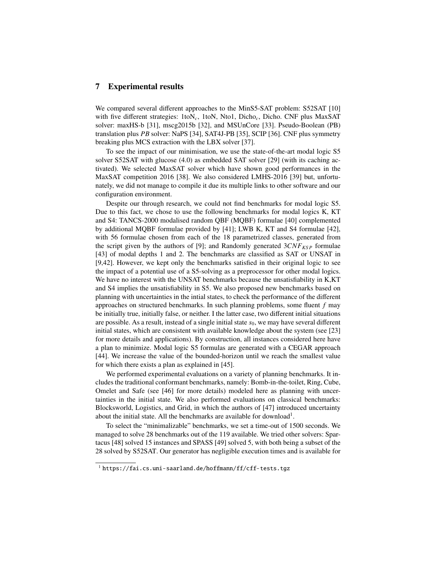### 7 Experimental results

We compared several different approaches to the MinS5-SAT problem: S52SAT [10] with five different strategies: 1toN*c*, 1toN, Nto1, Dicho*c*, Dicho. CNF plus MaxSAT solver: maxHS-b [31], mscg2015b [32], and MSUnCore [33]. Pseudo-Boolean (PB) translation plus *PB* solver: NaPS [34], SAT4J-PB [35], SCIP [36]. CNF plus symmetry breaking plus MCS extraction with the LBX solver [37].

To see the impact of our minimisation, we use the state-of-the-art modal logic S5 solver S52SAT with glucose (4.0) as embedded SAT solver [29] (with its caching activated). We selected MaxSAT solver which have shown good performances in the MaxSAT competition 2016 [38]. We also considered LMHS-2016 [39] but, unfortunately, we did not manage to compile it due its multiple links to other software and our configuration environment.

Despite our through research, we could not find benchmarks for modal logic S5. Due to this fact, we chose to use the following benchmarks for modal logics K, KT and S4: TANCS-2000 modalised random QBF (MQBF) formulae [40] complemented by additional MQBF formulae provided by [41]; LWB K, KT and S4 formulae [42], with 56 formulae chosen from each of the 18 parametrized classes, generated from the script given by the authors of [9]; and Randomly generated 3*CNFKS P* formulae [43] of modal depths 1 and 2. The benchmarks are classified as SAT or UNSAT in [9,42]. However, we kept only the benchmarks satisfied in their original logic to see the impact of a potential use of a S5-solving as a preprocessor for other modal logics. We have no interest with the UNSAT benchmarks because the unsatisfiability in K,KT and S4 implies the unsatisfiability in S5. We also proposed new benchmarks based on planning with uncertainties in the intial states, to check the performance of the different approaches on structured benchmarks. In such planning problems, some fluent *f* may be initially true, initially false, or neither. I the latter case, two different initial situations are possible. As a result, instead of a single initial state  $s<sub>0</sub>$ , we may have several different initial states, which are consistent with available knowledge about the system (see [23] for more details and applications). By construction, all instances considered here have a plan to minimize. Modal logic S5 formulas are generated with a CEGAR approach [44]. We increase the value of the bounded-horizon until we reach the smallest value for which there exists a plan as explained in [45].

We performed experimental evaluations on a variety of planning benchmarks. It includes the traditional conformant benchmarks, namely: Bomb-in-the-toilet, Ring, Cube, Omelet and Safe (see [46] for more details) modeled here as planning with uncertainties in the initial state. We also performed evaluations on classical benchmarks: Blocksworld, Logistics, and Grid, in which the authors of [47] introduced uncertainty about the initial state. All the benchmarks are available for download<sup>1</sup>.

To select the "minimalizable" benchmarks, we set a time-out of 1500 seconds. We managed to solve 28 benchmarks out of the 119 available. We tried other solvers: Spartacus [48] solved 15 instances and SPASS [49] solved 5, with both being a subset of the 28 solved by S52SAT. Our generator has negligible execution times and is available for

<sup>&</sup>lt;sup>1</sup> https://fai.cs.uni-saarland.de/hoffmann/ff/cff-tests.tgz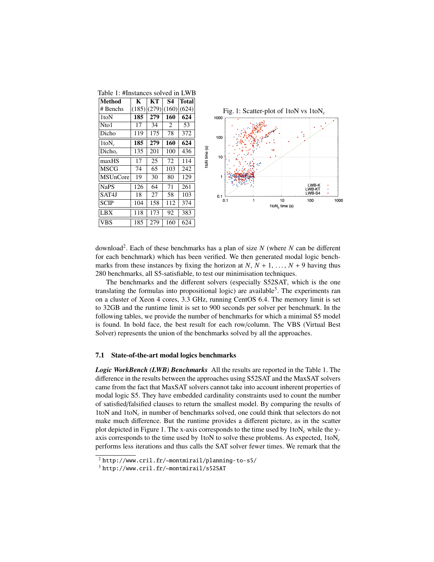

download<sup>2</sup> . Each of these benchmarks has a plan of size *N* (where *N* can be different for each benchmark) which has been verified. We then generated modal logic benchmarks from these instances by fixing the horizon at  $N$ ,  $N + 1$ , ...,  $N + 9$  having thus 280 benchmarks, all S5-satisfiable, to test our minimisation techniques.

The benchmarks and the different solvers (especially S52SAT, which is the one translating the formulas into propositional logic) are available<sup>3</sup>. The experiments ran on a cluster of Xeon 4 cores, 3.3 GHz, running CentOS 6.4. The memory limit is set to 32GB and the runtime limit is set to 900 seconds per solver per benchmark. In the following tables, we provide the number of benchmarks for which a minimal S5 model is found. In bold face, the best result for each row/column. The VBS (Virtual Best Solver) represents the union of the benchmarks solved by all the approaches.

#### 7.1 State-of-the-art modal logics benchmarks

*Logic WorkBench (LWB) Benchmarks* All the results are reported in the Table 1. The difference in the results between the approaches using S52SAT and the MaxSAT solvers came from the fact that MaxSAT solvers cannot take into account inherent properties of modal logic S5. They have embedded cardinality constraints used to count the number of satisfied/falsified clauses to return the smallest model. By comparing the results of 1toN and 1toN*<sup>c</sup>* in number of benchmarks solved, one could think that selectors do not make much difference. But the runtime provides a different picture, as in the scatter plot depicted in Figure 1. The x-axis corresponds to the time used by  $1$ toN<sub>c</sub> while the yaxis corresponds to the time used by 1toN to solve these problems. As expected, 1toN*<sup>c</sup>* performs less iterations and thus calls the SAT solver fewer times. We remark that the

<sup>2</sup> http://www.cril.fr/~montmirail/planning-to-s5/

 $3$  http://www.cril.fr/~montmirail/s52SAT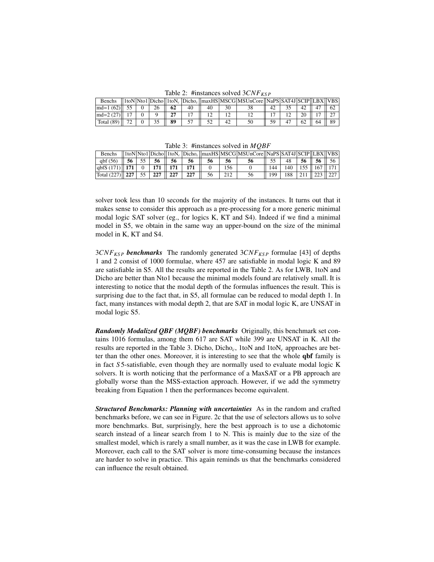Table 2: #instances solved 3*CNFKS P*

| <b>Benchs</b> |  |    |  |    | 1toN Nto1 Dicho  1toN <sub>c</sub>  Dicho <sub>c</sub>   maxHS MSCG MSUnCore  NaPS SAT4J SCIP  LBX  VBS |  |  |  |
|---------------|--|----|--|----|---------------------------------------------------------------------------------------------------------|--|--|--|
| $ md=1(62) $  |  | 62 |  |    |                                                                                                         |  |  |  |
| $md=2(27)$    |  |    |  |    |                                                                                                         |  |  |  |
| Total (89)    |  | 89 |  | 42 |                                                                                                         |  |  |  |

Table 3: #instances solved in *MQBF*

| Benchs                                            |  |  |  |  |     |    |     | $\frac{1}{2}$ [1toN Nto1 Dicho  1toN <sub>c</sub>  Dicho <sub>c</sub>   maxHS MSCG MSUnCore  NaPS SAT4J SCIP  LBX  VBS |     |                         |  |             |  |
|---------------------------------------------------|--|--|--|--|-----|----|-----|------------------------------------------------------------------------------------------------------------------------|-----|-------------------------|--|-------------|--|
| $\varphi$ dbf (56)    56    55    56    56    56  |  |  |  |  |     | 56 | 56  | 56                                                                                                                     | 55  | 48                      |  | 56 56 56 56 |  |
| $ {\rm qbfS} (171)    171   0   171    171   171$ |  |  |  |  |     |    | 156 |                                                                                                                        | 144 | 140   155    167    171 |  |             |  |
| $  \text{Total } (227)    227   55   227    227$  |  |  |  |  | 227 | 56 | 212 | 56                                                                                                                     | 199 | 188                     |  | 223    227  |  |

solver took less than 10 seconds for the majority of the instances. It turns out that it makes sense to consider this approach as a pre-processing for a more generic minimal modal logic SAT solver (eg., for logics K, KT and S4). Indeed if we find a minimal model in S5, we obtain in the same way an upper-bound on the size of the minimal model in K, KT and S4.

3*CNFKS P benchmarks* The randomly generated 3*CNFKS P* formulae [43] of depths 1 and 2 consist of 1000 formulae, where 457 are satisfiable in modal logic K and 89 are satisfiable in S5. All the results are reported in the Table 2. As for LWB, 1toN and Dicho are better than Nto1 because the minimal models found are relatively small. It is interesting to notice that the modal depth of the formulas influences the result. This is surprising due to the fact that, in S5, all formulae can be reduced to modal depth 1. In fact, many instances with modal depth 2, that are SAT in modal logic K, are UNSAT in modal logic S5.

*Randomly Modalized QBF (MQBF) benchmarks* Originally, this benchmark set contains 1016 formulas, among them 617 are SAT while 399 are UNSAT in K. All the results are reported in the Table 3. Dicho, Dicho*c*, 1toN and 1toN*<sup>c</sup>* approaches are better than the other ones. Moreover, it is interesting to see that the whole qbf family is in fact *S* 5-satisfiable, even though they are normally used to evaluate modal logic K solvers. It is worth noticing that the performance of a MaxSAT or a PB approach are globally worse than the MSS-extaction approach. However, if we add the symmetry breaking from Equation 1 then the performances become equivalent.

*Structured Benchmarks: Planning with uncertainties* As in the random and crafted benchmarks before, we can see in Figure. 2c that the use of selectors allows us to solve more benchmarks. But, surprisingly, here the best approach is to use a dichotomic search instead of a linear search from 1 to N. This is mainly due to the size of the smallest model, which is rarely a small number, as it was the case in LWB for example. Moreover, each call to the SAT solver is more time-consuming because the instances are harder to solve in practice. This again reminds us that the benchmarks considered can influence the result obtained.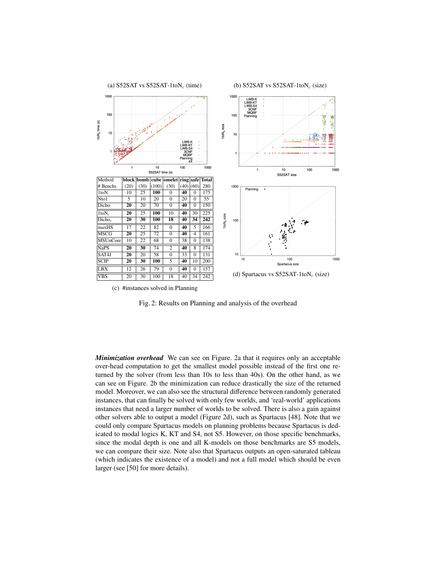

(c) #instances solved in Planning

Fig. 2: Results on Planning and analysis of the overhead

*Minimization overhead* We can see on Figure. 2a that it requires only an acceptable over-head computation to get the smallest model possible instead of the first one returned by the solver (from less than 10s to less than 40s). On the other hand, as we can see on Figure. 2b the minimization can reduce drastically the size of the returned model. Moreover, we can also see the structural difference between randomly generated instances, that can finally be solved with only few worlds, and 'real-world' applications instances that need a larger number of worlds to be solved. There is also a gain against other solvers able to output a model (Figure 2d), such as Spartacus [48]. Note that we could only compare Spartacus models on planning problems because Spartacus is dedicated to modal logics K, KT and S4, not S5. However, on those specific benchmarks, since the modal depth is one and all K-models on those benchmarks are S5 models, we can compare their size. Note also that Spartacus outputs an open-saturated tableau (which indicates the existence of a model) and not a full model which should be even larger (see [50] for more details).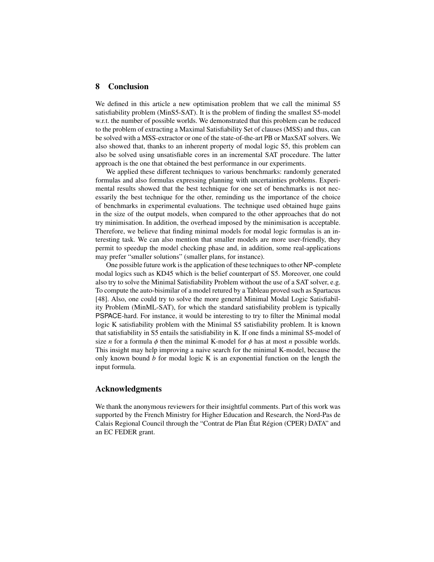## 8 Conclusion

We defined in this article a new optimisation problem that we call the minimal S5 satisfiability problem (MinS5-SAT). It is the problem of finding the smallest S5-model w.r.t. the number of possible worlds. We demonstrated that this problem can be reduced to the problem of extracting a Maximal Satisfiability Set of clauses (MSS) and thus, can be solved with a MSS-extractor or one of the state-of-the-art PB or MaxSAT solvers. We also showed that, thanks to an inherent property of modal logic S5, this problem can also be solved using unsatisfiable cores in an incremental SAT procedure. The latter approach is the one that obtained the best performance in our experiments.

We applied these different techniques to various benchmarks: randomly generated formulas and also formulas expressing planning with uncertainties problems. Experimental results showed that the best technique for one set of benchmarks is not necessarily the best technique for the other, reminding us the importance of the choice of benchmarks in experimental evaluations. The technique used obtained huge gains in the size of the output models, when compared to the other approaches that do not try minimisation. In addition, the overhead imposed by the minimisation is acceptable. Therefore, we believe that finding minimal models for modal logic formulas is an interesting task. We can also mention that smaller models are more user-friendly, they permit to speedup the model checking phase and, in addition, some real-applications may prefer "smaller solutions" (smaller plans, for instance).

One possible future work is the application of these techniques to other NP-complete modal logics such as KD45 which is the belief counterpart of S5. Moreover, one could also try to solve the Minimal Satisfiability Problem without the use of a SAT solver, e.g. To compute the auto-bisimilar of a model retured by a Tableau proved such as Spartacus [48]. Also, one could try to solve the more general Minimal Modal Logic Satisfiability Problem (MinML-SAT), for which the standard satisfiability problem is typically PSPACE-hard. For instance, it would be interesting to try to filter the Minimal modal logic K satisfiability problem with the Minimal S5 satisfiability problem. It is known that satisfiability in S5 entails the satisfiability in K. If one finds a minimal S5-model of size *n* for a formula  $\phi$  then the minimal K-model for  $\phi$  has at most *n* possible worlds. This insight may help improving a naive search for the minimal K-model, because the only known bound *b* for modal logic K is an exponential function on the length the input formula.

#### Acknowledgments

We thank the anonymous reviewers for their insightful comments. Part of this work was supported by the French Ministry for Higher Education and Research, the Nord-Pas de Calais Regional Council through the "Contrat de Plan État Région (CPER) DATA" and an EC FEDER grant.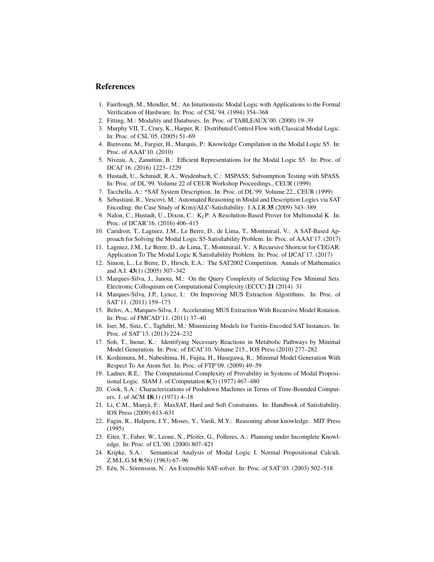#### References

- 1. Fairtlough, M., Mendler, M.: An Intuitionistic Modal Logic with Applications to the Formal Verification of Hardware. In: Proc. of CSL'94. (1994) 354–368
- 2. Fitting, M.: Modality and Databases. In: Proc. of TABLEAUX'00. (2000) 19–39
- 3. Murphy VII, T., Crary, K., Harper, R.: Distributed Control Flow with Classical Modal Logic. In: Proc. of CSL'05. (2005) 51–69
- 4. Bienvenu, M., Fargier, H., Marquis, P.: Knowledge Compilation in the Modal Logic S5. In: Proc. of AAAI'10. (2010)
- 5. Niveau, A., Zanuttini, B.: Efficient Representations for the Modal Logic S5. In: Proc. of IJCAI'16. (2016) 1223–1229
- 6. Hustadt, U., Schmidt, R.A., Weidenbach, C.: MSPASS: Subsumption Testing with SPASS. In: Proc. of DL'99. Volume 22 of CEUR Workshop Proceedings., CEUR (1999)
- 7. Tacchella, A.: \*SAT System Description. In: Proc. of DL'99. Volume 22., CEUR (1999)
- 8. Sebastiani, R., Vescovi, M.: Automated Reasoning in Modal and Description Logics via SAT Encoding: the Case Study of K(m)/ALC-Satisfiability. J.A.I.R 35 (2009) 343–389
- 9. Nalon, C., Hustadt, U., Dixon, C.: K*<sup>S</sup>* P: A Resolution-Based Prover for Multimodal K. In: Proc. of IJCAR'16. (2016) 406–415
- 10. Caridroit, T., Lagniez, J.M., Le Berre, D., de Lima, T., Montmirail, V.: A SAT-Based Approach for Solving the Modal Logic S5-Satisfiability Problem. In: Proc. of AAAI'17. (2017)
- 11. Lagniez, J.M., Le Berre, D., de Lima, T., Montmirail, V.: A Recursive Shortcut for CEGAR: Application To The Modal Logic K Satisfiability Problem. In: Proc. of IJCAI'17. (2017)
- 12. Simon, L., Le Berre, D., Hirsch, E.A.: The SAT2002 Competition. Annals of Mathematics and A.I. 43(1) (2005) 307–342
- 13. Marques-Silva, J., Janota, M.: On the Query Complexity of Selecting Few Minimal Sets. Electronic Colloquium on Computational Complexity (ECCC) 21 (2014) 31
- 14. Marques-Silva, J.P., Lynce, I.: On Improving MUS Extraction Algorithms. In: Proc. of SAT'11. (2011) 159–173
- 15. Belov, A., Marques-Silva, J.: Accelerating MUS Extraction With Recursive Model Rotation. In: Proc. of FMCAD'11. (2011) 37–40
- 16. Iser, M., Sinz, C., Taghdiri, M.: Minimizing Models for Tseitin-Encoded SAT Instances. In: Proc. of SAT'13. (2013) 224–232
- 17. Soh, T., Inoue, K.: Identifying Necessary Reactions in Metabolic Pathways by Minimal Model Generation. In: Proc. of ECAI'10. Volume 215., IOS Press (2010) 277–282
- 18. Koshimura, M., Nabeshima, H., Fujita, H., Hasegawa, R.: Minimal Model Generation With Respect To An Atom Set. In: Proc. of FTP'09. (2009) 49–59
- 19. Ladner, R.E.: The Computational Complexity of Provability in Systems of Modal Propositional Logic. SIAM J. of Computation 6(3) (1977) 467–480
- 20. Cook, S.A.: Characterizations of Pushdown Machines in Terms of Time-Bounded Computers. J. of ACM 18(1) (1971) 4–18
- 21. Li, C.M., Manyà, F.: MaxSAT, Hard and Soft Constraints. In: Handbook of Satisfiability. IOS Press (2009) 613–631
- 22. Fagin, R., Halpern, J.Y., Moses, Y., Vardi, M.Y.: Reasoning about knowledge. MIT Press (1995)
- 23. Eiter, T., Faber, W., Leone, N., Pfeifer, G., Polleres, A.: Planning under Incomplete Knowledge. In: Proc. of CL'00. (2000) 807–821
- 24. Kripke, S.A.: Semantical Analysis of Modal Logic I. Normal Propositional Calculi. Z.M.L.G.M 9(56) (1963) 67–96
- 25. Eén, N., Sörensson, N.: An Extensible SAT-solver. In: Proc. of SAT'03. (2003) 502–518